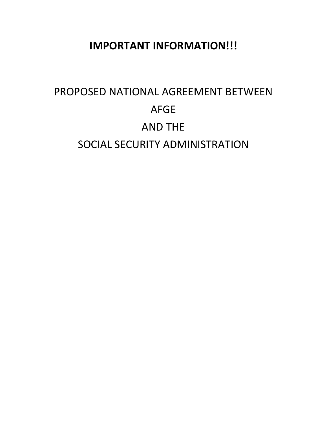# **IMPORTANT INFORMATION!!!**

# PROPOSED NATIONAL AGREEMENT BETWEEN AFGE AND THE SOCIAL SECURITY ADMINISTRATION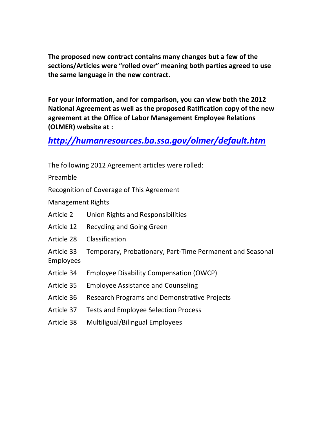**The proposed new contract contains many changes but a few of the sections/Articles were "rolled over" meaning both parties agreed to use the same language in the new contract.**

**For your information, and for comparison, you can view both the 2012 National Agreement as well as the proposed Ratification copy of the new agreement at the Office of Labor Management Employee Relations (OLMER) website at :**

## *<http://humanresources.ba.ssa.gov/olmer/default.htm>*

|                                | The following 2012 Agreement articles were rolled:        |
|--------------------------------|-----------------------------------------------------------|
| Preamble                       |                                                           |
|                                | Recognition of Coverage of This Agreement                 |
| <b>Management Rights</b>       |                                                           |
| Article 2                      | Union Rights and Responsibilities                         |
| Article 12                     | <b>Recycling and Going Green</b>                          |
| Article 28                     | Classification                                            |
| Article 33<br><b>Employees</b> | Temporary, Probationary, Part-Time Permanent and Seasonal |
| Article 34                     | <b>Employee Disability Compensation (OWCP)</b>            |
| Article 35                     | <b>Employee Assistance and Counseling</b>                 |
| Article 36                     | <b>Research Programs and Demonstrative Projects</b>       |
| Article 37                     | <b>Tests and Employee Selection Process</b>               |
| Article 38                     | Multiligual/Bilingual Employees                           |
|                                |                                                           |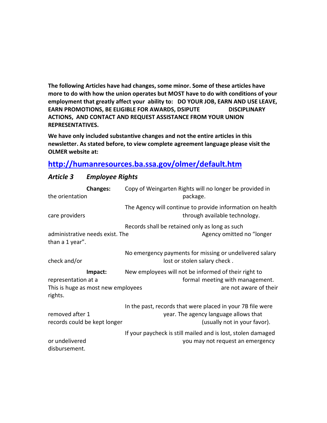**The following Articles have had changes, some minor. Some of these articles have more to do with how the union operates but MOST have to do with conditions of your employment that greatly affect your ability to: DO YOUR JOB, EARN AND USE LEAVE, EARN PROMOTIONS, BE ELIGIBLE FOR AWARDS, DSIPUTE DISCIPLINARY ACTIONS, AND CONTACT AND REQUEST ASSISTANCE FROM YOUR UNION REPRESENTATIVES.**

**We have only included substantive changes and not the entire articles in this newsletter. As stated before, to view complete agreement language please visit the OLMER website at:**

## **<http://humanresources.ba.ssa.gov/olmer/default.htm>**

| <b>Changes:</b><br>the orientation                                   | Copy of Weingarten Rights will no longer be provided in<br>package.                                                                 |
|----------------------------------------------------------------------|-------------------------------------------------------------------------------------------------------------------------------------|
| care providers                                                       | The Agency will continue to provide information on health<br>through available technology.                                          |
| administrative needs exist. The<br>than a 1 year".                   | Records shall be retained only as long as such<br>Agency omitted no "longer                                                         |
| check and/or                                                         | No emergency payments for missing or undelivered salary<br>lost or stolen salary check.                                             |
| Impact:<br>representation at a<br>This is huge as most new employees | New employees will not be informed of their right to<br>formal meeting with management.<br>are not aware of their                   |
| rights.                                                              |                                                                                                                                     |
| removed after 1<br>records could be kept longer                      | In the past, records that were placed in your 7B file were<br>year. The agency language allows that<br>(usually not in your favor). |

#### *Article 3 Employee Rights*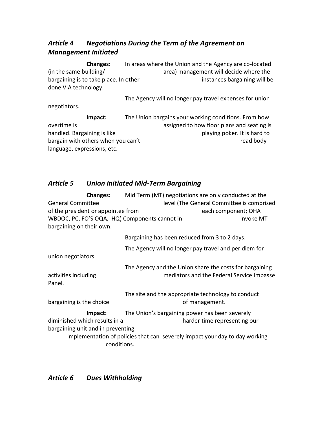## *Article 4 Negotiations During the Term of the Agreement on Management Initiated*

**Changes:** In areas where the Union and the Agency are co-located (in the same building/ area) management will decide where the bargaining is to take place. In other instances bargaining will be done VIA technology.

The Agency will no longer pay travel expenses for union negotiators.

**Impact:** The Union bargains your working conditions. From how overtime is assigned to how floor plans and seating is a seating is handled. Bargaining is like playing poker. It is hard to bargain with others when you can't cannot be a set of the cannot be read body language, expressions, etc.

## *Article 5 Union Initiated Mid-Term Bargaining*

| <b>Changes:</b>                               | Mid Term (MT) negotiations are only conducted at the                        |                                           |
|-----------------------------------------------|-----------------------------------------------------------------------------|-------------------------------------------|
| <b>General Committee</b>                      |                                                                             | level (The General Committee is comprised |
| of the president or appointee from            |                                                                             | each component; OHA                       |
| WBDOC, PC, FO'S OQA, HQ) Components cannot in |                                                                             | invoke MT                                 |
| bargaining on their own.                      |                                                                             |                                           |
|                                               | Bargaining has been reduced from 3 to 2 days.                               |                                           |
|                                               | The Agency will no longer pay travel and per diem for                       |                                           |
| union negotiators.                            |                                                                             |                                           |
|                                               | The Agency and the Union share the costs for bargaining                     |                                           |
| activities including                          |                                                                             | mediators and the Federal Service Impasse |
| Panel.                                        |                                                                             |                                           |
|                                               | The site and the appropriate technology to conduct                          |                                           |
| bargaining is the choice                      |                                                                             | of management.                            |
| Impact:                                       | The Union's bargaining power has been severely                              |                                           |
| diminished which results in a                 |                                                                             | harder time representing our              |
| bargaining unit and in preventing             |                                                                             |                                           |
|                                               | implementation of policies that can severely impact your day to day working |                                           |
| conditions.                                   |                                                                             |                                           |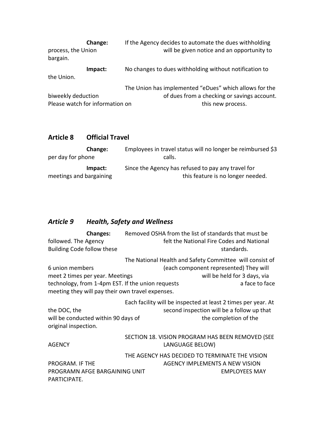| Change:<br>process, the Union<br>bargain.             | If the Agency decides to automate the dues withholding<br>will be given notice and an opportunity to                       |
|-------------------------------------------------------|----------------------------------------------------------------------------------------------------------------------------|
| Impact:<br>the Union.                                 | No changes to dues withholding without notification to                                                                     |
| biweekly deduction<br>Please watch for information on | The Union has implemented "eDues" which allows for the<br>of dues from a checking or savings account.<br>this new process. |

## **Article 8 Official Travel**

| <b>Change:</b>          | Employees in travel status will no longer be reimbursed \$3 |
|-------------------------|-------------------------------------------------------------|
| per day for phone       | calls.                                                      |
| Impact:                 | Since the Agency has refused to pay any travel for          |
| meetings and bargaining | this feature is no longer needed.                           |

# *Article 9 Health, Safety and Wellness*

| <b>Changes:</b>                                             |                 | Removed OSHA from the list of standards that must be          |
|-------------------------------------------------------------|-----------------|---------------------------------------------------------------|
| followed. The Agency                                        |                 | felt the National Fire Codes and National                     |
| <b>Building Code follow these</b>                           |                 | standards.                                                    |
|                                                             |                 | The National Health and Safety Committee will consist of      |
| 6 union members                                             |                 | (each component represented) They will                        |
| meet 2 times per year. Meetings                             |                 | will be held for 3 days, via                                  |
| technology, from 1-4pm EST. If the union requests           |                 | a face to face                                                |
| meeting they will pay their own travel expenses.            |                 |                                                               |
|                                                             |                 | Each facility will be inspected at least 2 times per year. At |
| the DOC, the                                                |                 | second inspection will be a follow up that                    |
| will be conducted within 90 days of<br>original inspection. |                 | the completion of the                                         |
|                                                             |                 | SECTION 18. VISION PROGRAM HAS BEEN REMOVED (SEE              |
| <b>AGENCY</b>                                               | LANGUAGE BELOW) |                                                               |
|                                                             |                 | THE AGENCY HAS DECIDED TO TERMINATE THE VISION                |
| PROGRAM. IF THE                                             |                 | AGENCY IMPLEMENTS A NEW VISION                                |
| PROGRAMN AFGE BARGAINING UNIT                               |                 | <b>EMPLOYEES MAY</b>                                          |
| PARTICIPATE.                                                |                 |                                                               |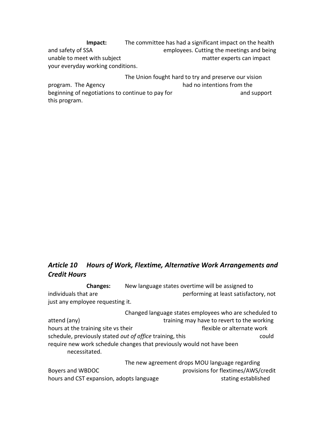**Impact:** The committee has had a significant impact on the health and safety of SSA employees. Cutting the meetings and being unable to meet with subject matter experts can impact your everyday working conditions.

The Union fought hard to try and preserve our vision program. The Agency had no intentions from the beginning of negotiations to continue to pay for and support and support this program.

## *Article 10 Hours of Work, Flextime, Alternative Work Arrangements and Credit Hours*

**Changes:** New language states overtime will be assigned to individuals that are **performing at least satisfactory**, not just any employee requesting it.

Changed language states employees who are scheduled to attend (any) training may have to revert to the working hours at the training site vs their flexible or alternate work schedule, previously stated *out of office* training, this could require new work schedule changes that previously would not have been necessitated.

The new agreement drops MOU language regarding Boyers and WBDOC provisions for flextimes/AWS/credit hours and CST expansion, adopts language stating established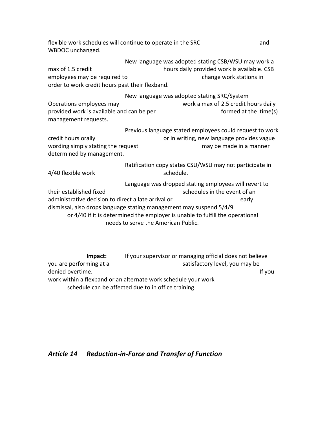flexible work schedules will continue to operate in the SRC and and WBDOC unchanged.

New language was adopted stating CSB/WSU may work a max of 1.5 credit hours daily provided work is available. CSB employees may be required to change work stations in order to work credit hours past their flexband.

 New language was adopted stating SRC/System Operations employees may work a max of 2.5 credit hours daily provided work is available and can be per formed at the time(s) management requests.

Previous language stated employees could request to work credit hours orally or in writing, new language provides vague wording simply stating the request mass may be made in a manner determined by management.

Ratification copy states CSU/WSU may not participate in 4/40 flexible work schedule. Language was dropped stating employees will revert to

their established fixed schedules in the event of an administrative decision to direct a late arrival or early early dismissal, also drops language stating management may suspend 5/4/9 or 4/40 if it is determined the employer is unable to fulfill the operational needs to serve the American Public.

**Impact:** If your supervisor or managing official does not believe you are performing at a satisfactory level, you may be denied overtime. If you have been also been also been also been also been also been also been also been also b work within a flexband or an alternate work schedule your work schedule can be affected due to in office training.

#### *Article 14 Reduction-in-Force and Transfer of Function*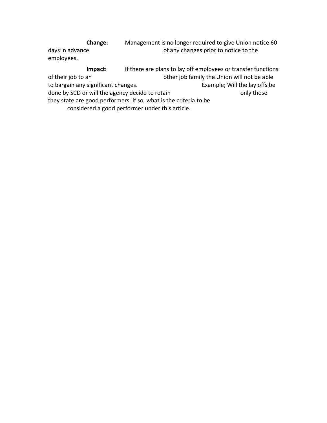**Change:** Management is no longer required to give Union notice 60 days in advance and all the control of any changes prior to notice to the employees.

**Impact:** If there are plans to lay off employees or transfer functions of their job to an other job family the Union will not be able to bargain any significant changes. The same sexample; Will the lay offs be done by SCD or will the agency decide to retain only those only those they state are good performers. If so, what is the criteria to be considered a good performer under this article.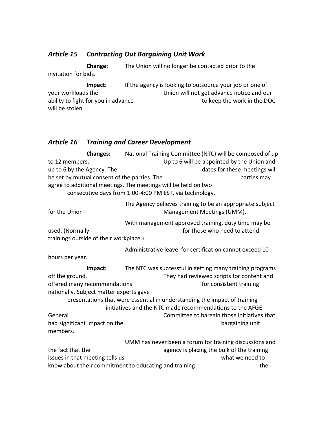#### *Article 15 Contracting Out Bargaining Unit Work*

**Change:** The Union will no longer be contacted prior to the invitation for bids.

**Impact:** If the agency is looking to outsource your job or one of your workloads the Union will not get advance notice and our ability to fight for you in advance to keep the work in the DOC will be stolen.

#### *Article 16 Training and Career Development*

**Changes:** National Training Committee (NTC) will be composed of up to 12 members. Up to 6 will be appointed by the Union and up to 6 by the Agency. The dates for these meetings will be set by mutual consent of the parties. The parties may parties may agree to additional meetings. The meetings will be held on two consecutive days from 1:00-4:00 PM EST, via technology. The Agency believes training to be an appropriate subject for the Union-<br>
Management Meetings (UMM). With management approved training, duty time may be used. (Normally for those who need to attend trainings outside of their workplace.) Administrative leave for certification cannot exceed 10 hours per year. **Impact:** The NTC was successful in getting many training programs off the ground. They had reviewed scripts for content and offered many recommendations for consistent training nationally. Subject matter experts gave presentations that were essential in understanding the impact of training initiatives and the NTC made recommendations to the AFGE General Committee to bargain those initiatives that had significant impact on the bargaining unit members. UMM has never been a forum for training discussions and the fact that the agency is placing the bulk of the training issues in that meeting tells us what we need to know about their commitment to educating and training the the the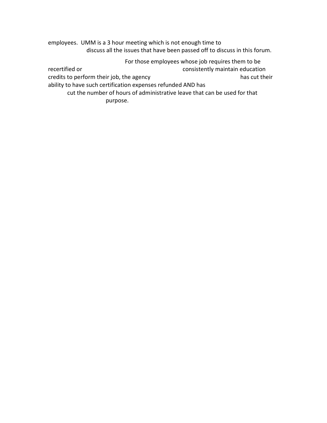employees. UMM is a 3 hour meeting which is not enough time to discuss all the issues that have been passed off to discuss in this forum.

For those employees whose job requires them to be

recertified or consistently maintain education

credits to perform their job, the agency has cut their has cut their

ability to have such certification expenses refunded AND has

cut the number of hours of administrative leave that can be used for that purpose.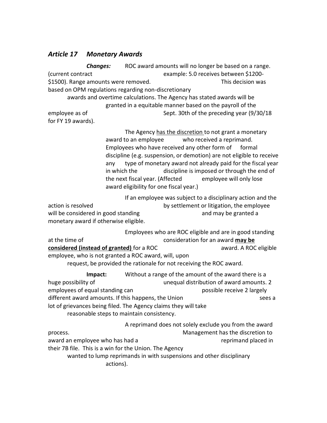#### *Article 17 Monetary Awards*

*Changes:* ROC award amounts will no longer be based on a range. (current contract example: 5.0 receives between \$1200- \$1500). Range amounts were removed. This decision was seen all the series was seen as the series of the series of the series of the series of the series of the series of the series of the series of the series of the series based on OPM regulations regarding non-discretionary awards and overtime calculations. The Agency has stated awards will be granted in a equitable manner based on the payroll of the employee as of Sept. 30th of the preceding year (9/30/18 for FY 19 awards).

> The Agency has the discretion to not grant a monetary award to an employee who received a reprimand. Employees who have received any other form of formal discipline (e.g. suspension, or demotion) are not eligible to receive any type of monetary award not already paid for the fiscal year in which the discipline is imposed or through the end of the next fiscal year. (Affected employee will only lose award eligibility for one fiscal year.)

If an employee was subject to a disciplinary action and the action is resolved action is resolved by settlement or litigation, the employee will be considered in good standing and may be granted a monetary award if otherwise eligible.

Employees who are ROC eligible and are in good standing at the time of consideration for an award **may be considered (instead of granted)** for a ROC and the state of a ward. A ROC eligible employee, who is not granted a ROC award, will, upon request, be provided the rationale for not receiving the ROC award.

**Impact:** Without a range of the amount of the award there is a huge possibility of the unequal distribution of award amounts. 2 employees of equal standing can possible receive 2 largely different award amounts. If this happens, the Union sees a lot of grievances being filed. The Agency claims they will take reasonable steps to maintain consistency.

A reprimand does not solely exclude you from the award process. Management has the discretion to award an employee who has had a reprimand placed in their 7B file. This is a win for the Union. The Agency wanted to lump reprimands in with suspensions and other disciplinary actions).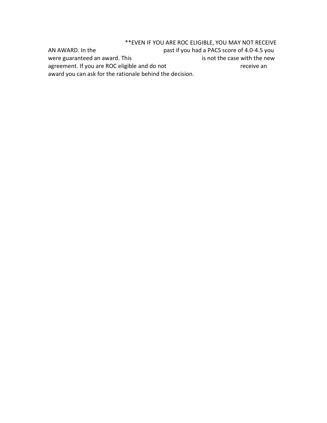\*\*EVEN IF YOU ARE ROC ELIGIBLE, YOU MAY NOT RECEIVE AN AWARD. In the past if you had a PACS score of 4.0-4.5 you were guaranteed an award. This is not the case with the new agreement. If you are ROC eligible and do not receive an receive an award you can ask for the rationale behind the decision.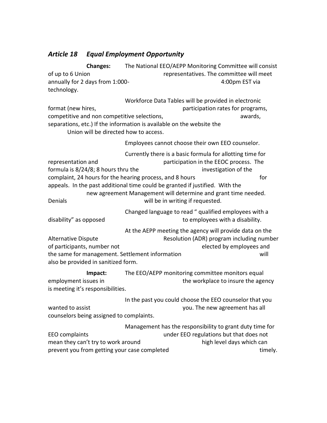## *Article 18 Equal Employment Opportunity*

**Changes:** The National EEO/AEPP Monitoring Committee will consist of up to 6 Union representatives. The committee will meet annually for 2 days from 1:000-<br>
annually for 2 days from 1:000technology. Workforce Data Tables will be provided in electronic format (new hires, and the participation rates for programs, competitive and non competitive selections, the computation of the awards, separations, etc.) If the information is available on the website the Union will be directed how to access. Employees cannot choose their own EEO counselor. Currently there is a basic formula for allotting time for representation and participation in the EEOC process. The formula is 8/24/8; 8 hours thru the investigation of the complaint, 24 hours for the hearing process, and 8 hours for the for appeals. In the past additional time could be granted if justified. With the new agreement Management will determine and grant time needed. Denials **Denials Denials EXECUTE:** Will be in writing if requested. Changed language to read " qualified employees with a disability" as opposed and to employees with a disability. At the AEPP meeting the agency will provide data on the Alternative Dispute **Resolution (ADR)** program including number of participants, number not elected by employees and the same for management. Settlement information will also be provided in sanitized form. **Impact:** The EEO/AEPP monitoring committee monitors equal employment issues in the workplace to insure the agency is meeting it's responsibilities. In the past you could choose the EEO counselor that you wanted to assist **you. The new agreement has all** counselors being assigned to complaints.

Management has the responsibility to grant duty time for EEO complaints under EEO regulations but that does not mean they can't try to work around high level days which can prevent you from getting your case completed timely.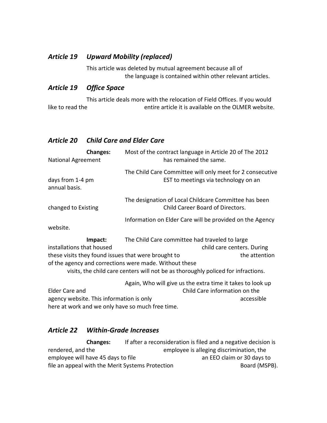#### *Article 19 Upward Mobility (replaced)*

This article was deleted by mutual agreement because all of the language is contained within other relevant articles.

#### *Article 19 Office Space*

This article deals more with the relocation of Field Offices. If you would like to read the entire article it is available on the OLMER website.

#### *Article 20 Child Care and Elder Care*

| <b>Changes:</b><br><b>National Agreement</b>                                                | Most of the contract language in Article 20 of The 2012<br>has remained the same.                 |                                             |
|---------------------------------------------------------------------------------------------|---------------------------------------------------------------------------------------------------|---------------------------------------------|
| days from 1-4 pm<br>annual basis.                                                           | The Child Care Committee will only meet for 2 consecutive<br>EST to meetings via technology on an |                                             |
| changed to Existing                                                                         | The designation of Local Childcare Committee has been<br>Child Career Board of Directors.         |                                             |
| website.                                                                                    | Information on Elder Care will be provided on the Agency                                          |                                             |
| Impact:<br>installations that housed<br>these visits they found issues that were brought to | The Child Care committee had traveled to large                                                    | child care centers. During<br>the attention |

of the agency and corrections were made. Without these

visits, the child care centers will not be as thoroughly policed for infractions.

Again, Who will give us the extra time it takes to look up Elder Care and **Child Care information on the** agency website. This information is only accessible as a secretive accessible here at work and we only have so much free time.

#### *Article 22 Within-Grade Increases*

**Changes:** If after a reconsideration is filed and a negative decision is rendered, and the employee is alleging discrimination, the employee will have 45 days to file and the state and EEO claim or 30 days to file an appeal with the Merit Systems Protection **Example 20 Solution** Board (MSPB).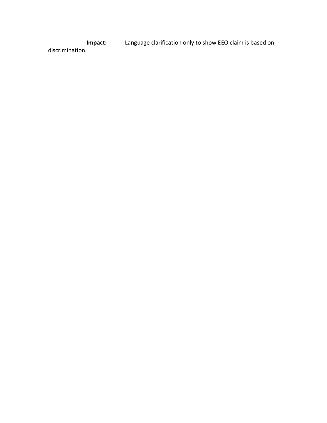**Impact:** Language clarification only to show EEO claim is based on discrimination.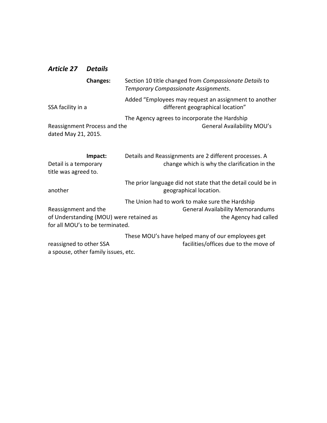#### *Article 27 Details*

| <b>Changes:</b>                                          | Section 10 title changed from Compassionate Details to<br>Temporary Compassionate Assignments.         |
|----------------------------------------------------------|--------------------------------------------------------------------------------------------------------|
| SSA facility in a                                        | Added "Employees may request an assignment to another<br>different geographical location"              |
| Reassignment Process and the<br>dated May 21, 2015.      | The Agency agrees to incorporate the Hardship<br><b>General Availability MOU's</b>                     |
| Impact:<br>Detail is a temporary<br>title was agreed to. | Details and Reassignments are 2 different processes. A<br>change which is why the clarification in the |
| another                                                  | The prior language did not state that the detail could be in<br>geographical location.                 |

The Union had to work to make sure the Hardship Reassignment and the **General Availability Memorandums** of Understanding (MOU) were retained as the Agency had called for all MOU's to be terminated.

These MOU's have helped many of our employees get reassigned to other SSA facilities/offices due to the move of a spouse, other family issues, etc.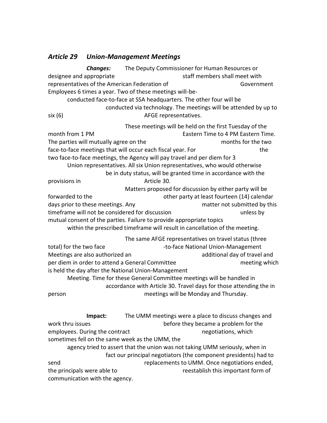#### *Article 29 Union-Management Meetings*

*Changes:* The Deputy Commissioner for Human Resources or designee and appropriate designee and appropriate staff members shall meet with representatives of the American Federation of Theorem Covernment Employees 6 times a year. Two of these meetings will-beconducted face-to-face at SSA headquarters. The other four will be conducted via technology. The meetings will be attended by up to six (6) AFGE representatives. These meetings will be held on the first Tuesday of the month from 1 PM **Eastern Time to 4 PM Eastern Time.** The parties will mutually agree on the months for the two months for the two face-to-face meetings that will occur each fiscal year. For the the two face-to-face meetings, the Agency will pay travel and per diem for 3 Union representatives. All six Union representatives, who would otherwise be in duty status, will be granted time in accordance with the provisions in Article 30. Matters proposed for discussion by either party will be forwarded to the **our contract to the other party at least fourteen (14) calendar** days prior to these meetings. Any matter not submitted by this timeframe will not be considered for discussion unless by mutual consent of the parties. Failure to provide appropriate topics within the prescribed timeframe will result in cancellation of the meeting. The same AFGE representatives on travel status (three total) for the two face  $\qquad \qquad$  -to-face National Union-Management Meetings are also authorized an and a additional day of travel and and additional day of travel and per diem in order to attend a General Committee meeting which is held the day after the National Union-Management Meeting. Time for these General Committee meetings will be handled in accordance with Article 30. Travel days for those attending the in person meetings will be Monday and Thursday. **Impact:** The UMM meetings were a place to discuss changes and work thru issues before they became a problem for the employees. During the contract negotiations, which sometimes fell on the same week as the UMM, the agency tried to assert that the union was not taking UMM seriously, when in fact our principal negotiators (the component presidents) had to send replacements to UMM. Once negotiations ended, the principals were able to reestablish this important form of communication with the agency.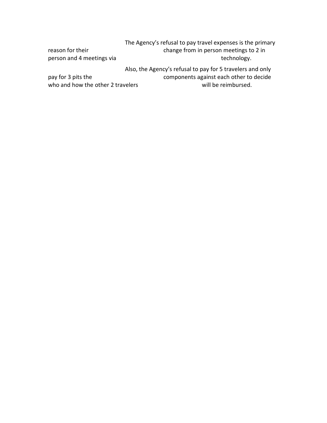| reason for their<br>person and 4 meetings via           | The Agency's refusal to pay travel expenses is the primary<br>change from in person meetings to 2 in<br>technology. |
|---------------------------------------------------------|---------------------------------------------------------------------------------------------------------------------|
|                                                         | Also, the Agency's refusal to pay for 5 travelers and only                                                          |
| pay for 3 pits the<br>who and how the other 2 travelers | components against each other to decide<br>will be reimbursed.                                                      |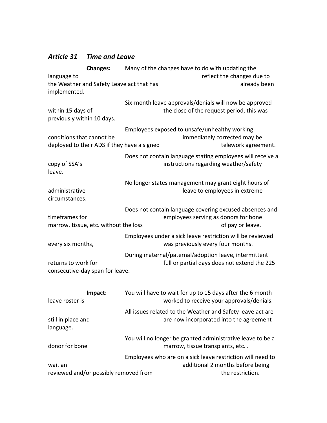## *Article 31 Time and Leave*

| <b>Changes:</b>                                                          | Many of the changes have to do with updating the                                                       |                                                                             |
|--------------------------------------------------------------------------|--------------------------------------------------------------------------------------------------------|-----------------------------------------------------------------------------|
| language to                                                              |                                                                                                        | reflect the changes due to                                                  |
| the Weather and Safety Leave act that has<br>implemented.                |                                                                                                        | already been                                                                |
| within 15 days of<br>previously within 10 days.                          | Six-month leave approvals/denials will now be approved<br>the close of the request period, this was    |                                                                             |
| conditions that cannot be<br>deployed to their ADS if they have a signed | Employees exposed to unsafe/unhealthy working<br>immediately corrected may be                          | telework agreement.                                                         |
| copy of SSA's<br>leave.                                                  | instructions regarding weather/safety                                                                  | Does not contain language stating employees will receive a                  |
| administrative<br>circumstances.                                         | No longer states management may grant eight hours of<br>leave to employees in extreme                  |                                                                             |
| timeframes for<br>marrow, tissue, etc. without the loss                  | employees serving as donors for bone                                                                   | Does not contain language covering excused absences and<br>of pay or leave. |
| every six months,                                                        | Employees under a sick leave restriction will be reviewed<br>was previously every four months.         |                                                                             |
| returns to work for<br>consecutive-day span for leave.                   | During maternal/paternal/adoption leave, intermittent<br>full or partial days does not extend the 225  |                                                                             |
| Impact:<br>leave roster is                                               | You will have to wait for up to 15 days after the 6 month<br>worked to receive your approvals/denials. |                                                                             |
| still in place and<br>language.                                          | All issues related to the Weather and Safety leave act are<br>are now incorporated into the agreement  |                                                                             |
| donor for bone                                                           | You will no longer be granted administrative leave to be a<br>marrow, tissue transplants, etc          |                                                                             |
| wait an<br>reviewed and/or possibly removed from                         | Employees who are on a sick leave restriction will need to                                             | additional 2 months before being<br>the restriction.                        |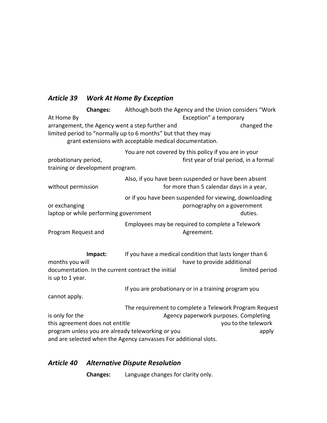## *Article 39 Work At Home By Exception*

| <b>Changes:</b>                                                                                                  |                                                         | Although both the Agency and the Union considers "Work                                           |
|------------------------------------------------------------------------------------------------------------------|---------------------------------------------------------|--------------------------------------------------------------------------------------------------|
| At Home By                                                                                                       |                                                         | Exception" a temporary                                                                           |
| arrangement, the Agency went a step further and<br>limited period to "normally up to 6 months" but that they may | grant extensions with acceptable medical documentation. | changed the                                                                                      |
| probationary period,<br>training or development program.                                                         |                                                         | You are not covered by this policy if you are in your<br>first year of trial period, in a formal |
| without permission                                                                                               |                                                         | Also, if you have been suspended or have been absent<br>for more than 5 calendar days in a year, |
| or exchanging<br>laptop or while performing government                                                           |                                                         | or if you have been suspended for viewing, downloading<br>pornography on a government<br>duties. |
| Program Request and                                                                                              |                                                         | Employees may be required to complete a Telework<br>Agreement.                                   |
| Impact:<br>months you will                                                                                       |                                                         | If you have a medical condition that lasts longer than 6<br>have to provide additional           |
| documentation. In the current contract the initial<br>is up to 1 year.                                           |                                                         | limited period                                                                                   |
| cannot apply.                                                                                                    |                                                         | If you are probationary or in a training program you                                             |
|                                                                                                                  |                                                         | The requirement to complete a Telework Program Request                                           |
| is only for the                                                                                                  |                                                         | Agency paperwork purposes. Completing                                                            |
| this agreement does not entitle                                                                                  |                                                         | you to the telework                                                                              |
| program unless you are already teleworking or you                                                                |                                                         | apply                                                                                            |
| and are selected when the Agency canvasses For additional slots.                                                 |                                                         |                                                                                                  |

## *Article 40 Alternative Dispute Resolution*

**Changes:** Language changes for clarity only.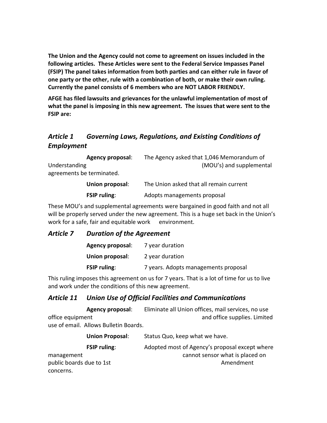**The Union and the Agency could not come to agreement on issues included in the following articles. These Articles were sent to the Federal Service Impasses Panel (FSIP) The panel takes information from both parties and can either rule in favor of one party or the other, rule with a combination of both, or make their own ruling. Currently the panel consists of 6 members who are NOT LABOR FRIENDLY.**

**AFGE has filed lawsuits and grievances for the unlawful implementation of most of what the panel is imposing in this new agreement. The issues that were sent to the FSIP are:**

## *Article 1 Governing Laws, Regulations, and Existing Conditions of Employment*

**Agency proposal**: The Agency asked that 1,046 Memorandum of Understanding (MOU's) and supplemental agreements be terminated.

| Union proposal:     | The Union asked that all remain current |
|---------------------|-----------------------------------------|
| <b>FSIP ruling:</b> | Adopts managements proposal             |

These MOU's and supplemental agreements were bargained in good faith and not all will be properly served under the new agreement. This is a huge set back in the Union's work for a safe, fair and equitable work environment.

#### *Article 7 Duration of the Agreement*

| <b>Agency proposal:</b> | 7 year duration                      |
|-------------------------|--------------------------------------|
| Union proposal:         | 2 year duration                      |
| <b>FSIP ruling:</b>     | 7 years. Adopts managements proposal |

This ruling imposes this agreement on us for 7 years. That is a lot of time for us to live and work under the conditions of this new agreement.

## *Article 11 Union Use of Official Facilities and Communications*

**Agency proposal**: Eliminate all Union offices, mail services, no use office equipment and office supplies. Limited use of email. Allows Bulletin Boards.

|                          | <b>Union Proposal:</b> | Status Quo, keep what we have.                 |
|--------------------------|------------------------|------------------------------------------------|
|                          | <b>FSIP ruling:</b>    | Adopted most of Agency's proposal except where |
| management               |                        | cannot sensor what is placed on                |
| public boards due to 1st |                        | Amendment                                      |
| concerns.                |                        |                                                |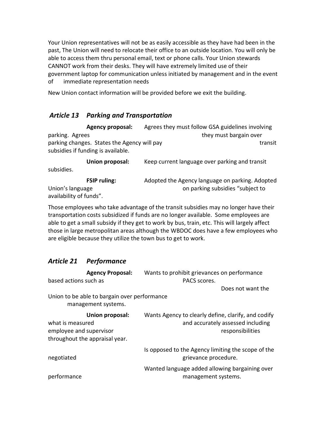Your Union representatives will not be as easily accessible as they have had been in the past, The Union will need to relocate their office to an outside location. You will only be able to access them thru personal email, text or phone calls. Your Union stewards CANNOT work from their desks. They will have extremely limited use of their government laptop for communication unless initiated by management and in the event of immediate representation needs

New Union contact information will be provided before we exit the building.

## *Article 13 Parking and Transportation*

**Agency proposal:** Agrees they must follow GSA guidelines involving parking. Agrees they must bargain over parking changes. States the Agency will pay the state of the state of transit subsidies if funding is available.

**Union proposal:** Keep current language over parking and transit subsidies.

**FSIP ruling:** Adopted the Agency language on parking. Adopted Union's language **Output Constructs** on parking subsidies "subject to availability of funds".

Those employees who take advantage of the transit subsidies may no longer have their transportation costs subsidized if funds are no longer available. Some employees are able to get a small subsidy if they get to work by bus, train, etc. This will largely affect those in large metropolitan areas although the WBDOC does have a few employees who are eligible because they utilize the town bus to get to work.

## *Article 21 Performance*

| <b>Agency Proposal:</b>                                                                          | Wants to prohibit grievances on performance                                                                  |
|--------------------------------------------------------------------------------------------------|--------------------------------------------------------------------------------------------------------------|
| based actions such as                                                                            | PACS scores.                                                                                                 |
|                                                                                                  | Does not want the                                                                                            |
| Union to be able to bargain over performance<br>management systems.                              |                                                                                                              |
| Union proposal:<br>what is measured<br>employee and supervisor<br>throughout the appraisal year. | Wants Agency to clearly define, clarify, and codify<br>and accurately assessed including<br>responsibilities |
| negotiated                                                                                       | Is opposed to the Agency limiting the scope of the<br>grievance procedure.                                   |
| performance                                                                                      | Wanted language added allowing bargaining over<br>management systems.                                        |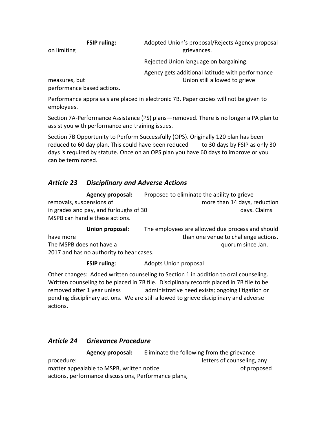**FSIP ruling:** Adopted Union's proposal/Rejects Agency proposal on limiting and the contract of the contract of the contract of the grievances.

Rejected Union language on bargaining.

Agency gets additional latitude with performance measures, but Union still allowed to grieve

performance based actions.

Performance appraisals are placed in electronic 7B. Paper copies will not be given to employees.

Section 7A-Performance Assistance (PS) plans—removed. There is no longer a PA plan to assist you with performance and training issues.

Section 7B Opportunity to Perform Successfully (OPS). Originally 120 plan has been reduced to 60 day plan. This could have been reduced to 30 days by FSIP as only 30 days is required by statute. Once on an OPS plan you have 60 days to improve or you can be terminated.

## *Article 23 Disciplinary and Adverse Actions*

| <b>Agency proposal:</b>                | Proposed to eliminate the ability to grieve |
|----------------------------------------|---------------------------------------------|
| removals, suspensions of               | more than 14 days, reduction                |
| in grades and pay, and furloughs of 30 | days. Claims                                |
| MSPB can handle these actions.         |                                             |

**Union proposal**: The employees are allowed due process and should have more than one venue to challenge actions. The MSPB does not have a quorum since Jan. 2017 and has no authority to hear cases.

**FSIP ruling:** Adopts Union proposal

Other changes: Added written counseling to Section 1 in addition to oral counseling. Written counseling to be placed in 7B file. Disciplinary records placed in 7B file to be removed after 1 year unless administrative need exists; ongoing litigation or pending disciplinary actions. We are still allowed to grieve disciplinary and adverse actions.

## *Article 24 Grievance Procedure*

**Agency proposal:** Eliminate the following from the grievance procedure: letters of counseling, any procedure: matter appealable to MSPB, written notice in the control of proposed actions, performance discussions, Performance plans,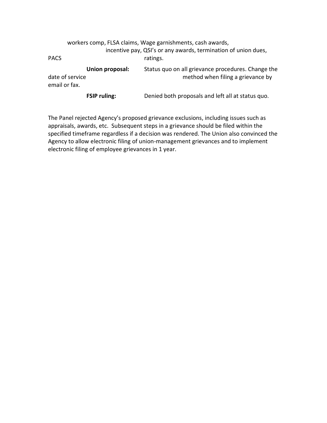|                                  |                     | workers comp, FLSA claims, Wage garnishments, cash awards,<br>incentive pay, QSI's or any awards, termination of union dues, |
|----------------------------------|---------------------|------------------------------------------------------------------------------------------------------------------------------|
| <b>PACS</b>                      |                     | ratings.                                                                                                                     |
| date of service<br>email or fax. | Union proposal:     | Status quo on all grievance procedures. Change the<br>method when filing a grievance by                                      |
|                                  | <b>FSIP ruling:</b> | Denied both proposals and left all at status quo.                                                                            |

The Panel rejected Agency's proposed grievance exclusions, including issues such as appraisals, awards, etc. Subsequent steps in a grievance should be filed within the specified timeframe regardless if a decision was rendered. The Union also convinced the Agency to allow electronic filing of union-management grievances and to implement electronic filing of employee grievances in 1 year.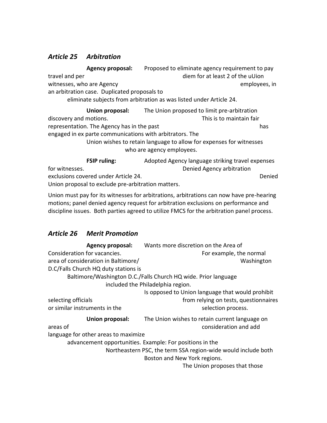## *Article 25 Arbitration*

**Agency proposal:** Proposed to eliminate agency requirement to pay travel and per diem for at least 2 of the uUion witnesses, who are Agency employees, in the employees, in an arbitration case. Duplicated proposals to eliminate subjects from arbitration as was listed under Article 24. **Union proposal:** The Union proposed to limit pre-arbitration discovery and motions. This is to maintain fair representation. The Agency has in the past has has has engaged in ex parte communications with arbitrators. The Union wishes to retain language to allow for expenses for witnesses who are agency employees. **FSIP ruling:** Adopted Agency language striking travel expenses for witnesses. Denied Agency arbitration exclusions covered under Article 24. Denied

Union proposal to exclude pre-arbitration matters. Union must pay for its witnesses for arbitrations, arbitrations can now have pre-hearing

motions; panel denied agency request for arbitration exclusions on performance and discipline issues. Both parties agreed to utilize FMCS for the arbitration panel process.

## *Article 26 Merit Promotion*

| <b>Agency proposal:</b>                                  | Wants more discretion on the Area of                           |
|----------------------------------------------------------|----------------------------------------------------------------|
| Consideration for vacancies.                             | For example, the normal                                        |
| area of consideration in Baltimore/                      | Washington                                                     |
| D.C/Falls Church HQ duty stations is                     |                                                                |
|                                                          | Baltimore/Washington D.C./Falls Church HQ wide. Prior language |
|                                                          | included the Philadelphia region.                              |
|                                                          | Is opposed to Union language that would prohibit               |
| selecting officials                                      | from relying on tests, questionnaires                          |
| or similar instruments in the                            | selection process.                                             |
| Union proposal:                                          | The Union wishes to retain current language on                 |
| areas of                                                 | consideration and add                                          |
| language for other areas to maximize                     |                                                                |
| advancement opportunities. Example: For positions in the |                                                                |
|                                                          | Northeastern PSC, the term SSA region-wide would include both  |
|                                                          | Boston and New York regions.                                   |
|                                                          | The Union proposes that those                                  |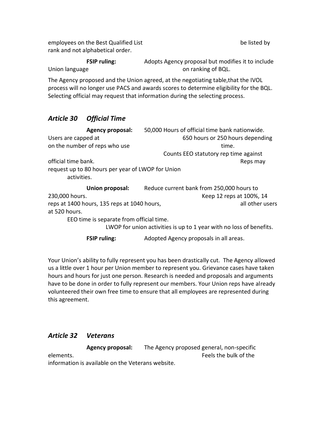employees on the Best Qualified List be listed by be listed by rank and not alphabetical order.

**FSIP ruling:** Adopts Agency proposal but modifies it to include Union language **on ranking of BQL**.

The Agency proposed and the Union agreed, at the negotiating table,that the IVOL process will no longer use PACS and awards scores to determine eligibility for the BQL. Selecting official may request that information during the selecting process.

## *Article 30 Official Time*

| <b>Agency proposal:</b>                                          | 50,000 Hours of official time bank nationwide.                      |
|------------------------------------------------------------------|---------------------------------------------------------------------|
| Users are capped at                                              | 650 hours or 250 hours depending                                    |
| on the number of reps who use                                    | time.                                                               |
|                                                                  | Counts EEO statutory rep time against                               |
| official time bank.                                              | Reps may                                                            |
| request up to 80 hours per year of LWOP for Union<br>activities. |                                                                     |
| Union proposal:                                                  | Reduce current bank from 250,000 hours to                           |
| 230,000 hours.                                                   | Keep 12 reps at 100%, 14                                            |
| reps at 1400 hours, 135 reps at 1040 hours,                      | all other users                                                     |
| at 520 hours.                                                    |                                                                     |
| EEO time is separate from official time.                         |                                                                     |
|                                                                  | LWOP for union activities is up to 1 year with no loss of benefits. |

**FSIP ruling:** Adopted Agency proposals in all areas.

Your Union's ability to fully represent you has been drastically cut. The Agency allowed us a little over 1 hour per Union member to represent you. Grievance cases have taken hours and hours for just one person. Research is needed and proposals and arguments have to be done in order to fully represent our members. Your Union reps have already volunteered their own free time to ensure that all employees are represented during this agreement.

## *Article 32 Veterans*

**Agency proposal:** The Agency proposed general, non-specific elements. Feels the bulk of the information is available on the Veterans website.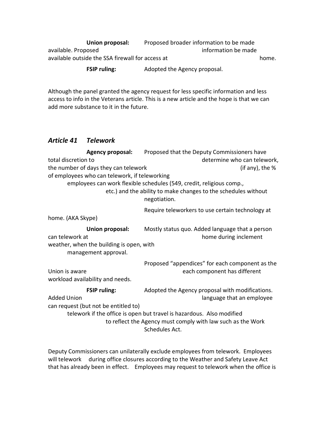**Union proposal:** Proposed broader information to be made available. Proposed information be made available outside the SSA firewall for access at home home.

**FSIP ruling:** Adopted the Agency proposal.

Although the panel granted the agency request for less specific information and less access to info in the Veterans article. This is a new article and the hope is that we can add more substance to it in the future.

#### *Article 41 Telework*

**Agency proposal:** Proposed that the Deputy Commissioners have total discretion to determine who can telework, the number of days they can telework (if any), the % of employees who can telework, if teleworking employees can work flexible schedules (549, credit, religious comp., etc.) and the ability to make changes to the schedules without negotiation. Require teleworkers to use certain technology at home. (AKA Skype) **Union proposal:** Mostly status quo. Added language that a person can telework at home during inclement weather, when the building is open, with management approval. Proposed "appendices" for each component as the Union is aware each component has different workload availability and needs. **FSIP ruling:** Adopted the Agency proposal with modifications. Added Union language that an employee can request (but not be entitled to) telework if the office is open but travel is hazardous. Also modified to reflect the Agency must comply with law such as the Work Schedules Act.

Deputy Commissioners can unilaterally exclude employees from telework. Employees will telework during office closures according to the Weather and Safety Leave Act that has already been in effect. Employees may request to telework when the office is